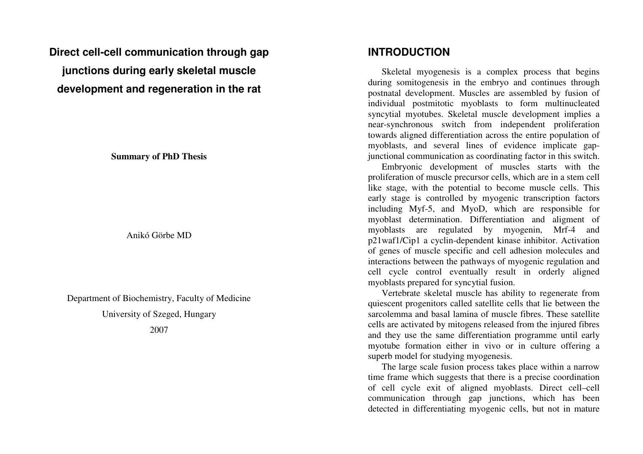**Direct cell-cell communication through gap junctions during early skeletal muscle development and regeneration in the rat** 

**Summary of PhD Thesis** 

Anikó Görbe MD

Department of Biochemistry, Faculty of Medicine

University of Szeged, Hungary

2007

#### **INTRODUCTION**

Skeletal myogenesis is a complex process that begins during somitogenesis in the embryo and continues through postnatal development. Muscles are assembled by fusion of individual postmitotic myoblasts to form multinucleated syncytial myotubes. Skeletal muscle development implies a near-synchronous switch from independent proliferation towards aligned differentiation across the entire population of myoblasts, and several lines of evidence implicate gapjunctional communication as coordinating factor in this switch.

 Embryonic development of muscles starts with the proliferation of muscle precursor cells, which are in a stem cell like stage, with the potential to become muscle cells. This early stage is controlled by myogenic transcription factors including Myf-5, and MyoD, which are responsible for myoblast determination. Differentiation and aligment of myoblasts are regulated by myogenin, Mrf-4 and p21waf1/Cip1 a cyclin-dependent kinase inhibitor. Activation of genes of muscle specific and cell adhesion molecules and interactions between the pathways of myogenic regulation and cell cycle control eventually result in orderly aligned myoblasts prepared for syncytial fusion.

 Vertebrate skeletal muscle has ability to regenerate from quiescent progenitors called satellite cells that lie between the sarcolemma and basal lamina of muscle fibres. These satellite cells are activated by mitogens released from the injured fibres and they use the same differentiation programme until early myotube formation either in vivo or in culture offering a superb model for studying myogenesis.

 The large scale fusion process takes place within a narrow time frame which suggests that there is a precise coordination of cell cycle exit of aligned myoblasts. Direct cell–cell communication through gap junctions, which has beendetected in differentiating myogenic cells, but not in mature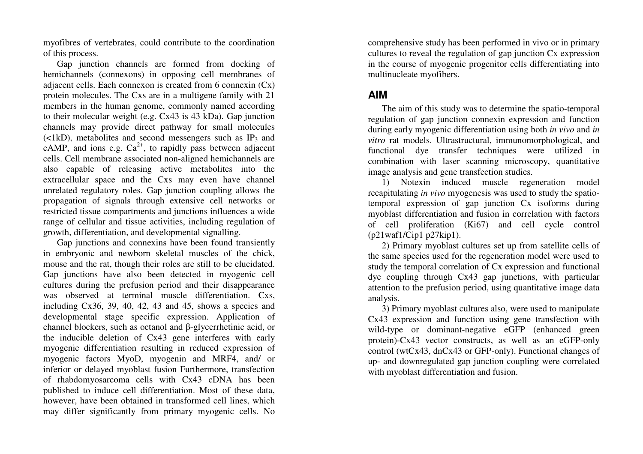myofibres of vertebrates, could contribute to the coordination of this process.

 Gap junction channels are formed from docking of hemichannels (connexons) in opposing cell membranes of adjacent cells. Each connexon is created from 6 connexin (Cx) protein molecules. The Cxs are in a multigene family with 21 members in the human genome, commonly named according to their molecular weight (e.g. Cx43 is 43 kDa). Gap junction channels may provide direct pathway for small molecules  $(\langle 1kD \rangle)$ , metabolites and second messengers such as IP<sub>3</sub> and cAMP, and ions e.g.  $Ca^{2+}$ , to rapidly pass between adjacent cells. Cell membrane associated non-aligned hemichannels are also capable of releasing active metabolites into the extracellular space and the Cxs may even have channel unrelated regulatory roles. Gap junction coupling allows the propagation of signals through extensive cell networks or restricted tissue compartments and junctions influences a wide range of cellular and tissue activities, including regulation of growth, differentiation, and developmental signalling.

 Gap junctions and connexins have been found transiently in embryonic and newborn skeletal muscles of the chick, mouse and the rat, though their roles are still to be elucidated. Gap junctions have also been detected in myogenic cell cultures during the prefusion period and their disappearance was observed at terminal muscle differentiation. Cxs, including Cx36, 39, 40, 42, 43 and 45, shows a species and developmental stage specific expression. Application of channel blockers, such as octanol and β-glycerrhetinic acid, or the inducible deletion of Cx43 gene interferes with early myogenic differentiation resulting in reduced expression of myogenic factors MyoD, myogenin and MRF4, and/ or inferior or delayed myoblast fusion Furthermore, transfection of rhabdomyosarcoma cells with Cx43 cDNA has been published to induce cell differentiation. Most of these data, however, have been obtained in transformed cell lines, which may differ significantly from primary myogenic cells. No comprehensive study has been performed in vivo or in primary cultures to reveal the regulation of gap junction Cx expression in the course of myogenic progenitor cells differentiating into multinucleate myofibers.

# **AIM**

The aim of this study was to determine the spatio-temporal regulation of gap junction connexin expression and function during early myogenic differentiation using both *in vivo* and *in vitro* rat models. Ultrastructural, immunomorphological, and functional dye transfer techniques were utilized in combination with laser scanning microscopy, quantitative image analysis and gene transfection studies.

 1) Notexin induced muscle regeneration model recapitulating *in vivo* myogenesis was used to study the spatiotemporal expression of gap junction Cx isoforms during myoblast differentiation and fusion in correlation with factors of cell proliferation (Ki67) and cell cycle control(p21waf1/Cip1 p27kip1).

 2) Primary myoblast cultures set up from satellite cells of the same species used for the regeneration model were used to study the temporal correlation of Cx expression and functional dye coupling through Cx43 gap junctions, with particular attention to the prefusion period, using quantitative image data analysis.

 3) Primary myoblast cultures also, were used to manipulate Cx43 expression and function using gene transfection with wild-type or dominant-negative eGFP (enhanced green protein)-Cx43 vector constructs, as well as an eGFP-only control (wtCx43, dnCx43 or GFP-only). Functional changes of up- and downregulated gap junction coupling were correlated with myoblast differentiation and fusion.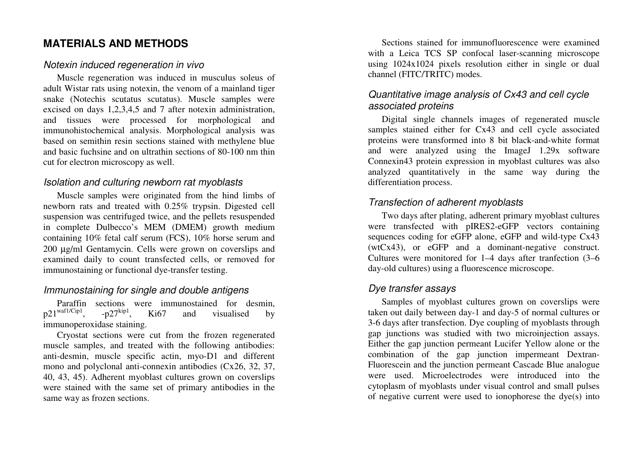# **MATERIALS AND METHODS**

#### Notexin induced regeneration in vivo

Muscle regeneration was induced in musculus soleus of adult Wistar rats using notexin, the venom of a mainland tiger snake (Notechis scutatus scutatus). Muscle samples were excised on days 1,2,3,4,5 and 7 after notexin administration, and tissues were processed for morphological and immunohistochemical analysis. Morphological analysis was based on semithin resin sections stained with methylene blue and basic fuchsine and on ultrathin sections of 80-100 nm thin cut for electron microscopy as well.

### Isolation and culturing newborn rat myoblasts

Muscle samples were originated from the hind limbs of newborn rats and treated with 0.25% trypsin. Digested cell suspension was centrifuged twice, and the pellets resuspended in complete Dulbecco's MEM (DMEM) growth medium containing 10% fetal calf serum (FCS), 10% horse serum and 200 µg/ml Gentamycin. Cells were grown on coverslips and examined daily to count transfected cells, or removed for immunostaining or functional dye-transfer testing.

# Immunostaining for single and double antigens

Paraffin sections were immunostained for desmin,  $p21^{\text{waf1/Cip1}}$ ,  $-p27^{\text{kip1}}$ , Ki67 and visualised by immunoperoxidase staining.

 Cryostat sections were cut from the frozen regenerated muscle samples, and treated with the following antibodies: anti-desmin, muscle specific actin, myo-D1 and different mono and polyclonal anti-connexin antibodies (Cx26, 32, 37, 40, 43, 45). Adherent myoblast cultures grown on coverslips were stained with the same set of primary antibodies in the same way as frozen sections.

Sections stained for immunofluorescence were examined with a Leica TCS SP confocal laser-scanning microscope using 1024x1024 pixels resolution either in single or dual channel (FITC/TRITC) modes.

# Quantitative image analysis of Cx43 and cell cycle associated proteins

Digital single channels images of regenerated muscle samples stained either for Cx43 and cell cycle associated proteins were transformed into 8 bit black-and-white format and were analyzed using the ImageJ 1.29x software Connexin43 protein expression in myoblast cultures was also analyzed quantitatively in the same way during the differentiation process.

### Transfection of adherent myoblasts

Two days after plating, adherent primary myoblast cultures were transfected with pIRES2-eGFP vectors containing sequences coding for eGFP alone, eGFP and wild-type Cx43 (wtCx43), or eGFP and a dominant-negative construct. Cultures were monitored for 1–4 days after tranfection (3–6 day-old cultures) using a fluorescence microscope.

# Dye transfer assays

Samples of myoblast cultures grown on coverslips were taken out daily between day-1 and day-5 of normal cultures or 3-6 days after transfection. Dye coupling of myoblasts through gap junctions was studied with two microinjection assays. Either the gap junction permeant Lucifer Yellow alone or the combination of the gap junction impermeant Dextran-Fluorescein and the junction permeant Cascade Blue analogue were used. Microelectrodes were introduced into the cytoplasm of myoblasts under visual control and small pulses of negative current were used to ionophorese the dye(s) into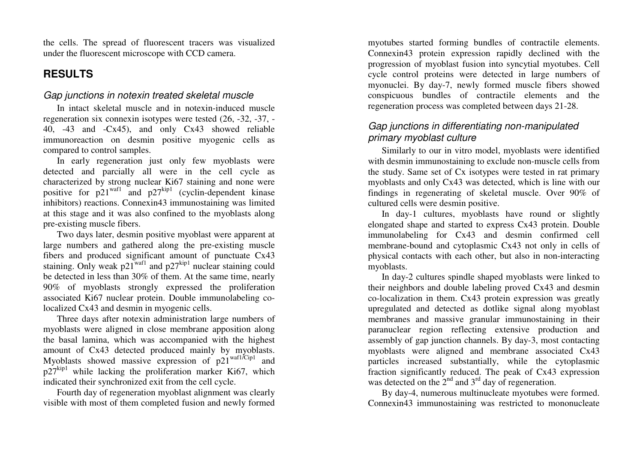the cells. The spread of fluorescent tracers was visualized under the fluorescent microscope with CCD camera.

# **RESULTS**

#### Gap junctions in notexin treated skeletal muscle

In intact skeletal muscle and in notexin-induced muscle regeneration six connexin isotypes were tested (26, -32, -37, - 40, -43 and -Cx45), and only Cx43 showed reliable immunoreaction on desmin positive myogenic cells ascompared to control samples.

 In early regeneration just only few myoblasts were detected and parcially all were in the cell cycle as characterized by strong nuclear Ki67 staining and none were positive for  $p21^{waf1}$  and  $p27^{kip1}$  (cyclin-dependent kinase inhibitors) reactions. Connexin43 immunostaining was limited at this stage and it was also confined to the myoblasts along pre-existing muscle fibers.

 Two days later, desmin positive myoblast were apparent at large numbers and gathered along the pre-existing muscle fibers and produced significant amount of punctuate Cx43 staining. Only weak  $p21^{waf1}$  and  $p27^{kip1}$  nuclear staining could be detected in less than 30% of them. At the same time, nearly 90% of myoblasts strongly expressed the proliferation associated Ki67 nuclear protein. Double immunolabeling colocalized Cx43 and desmin in myogenic cells.

 Three days after notexin administration large numbers of myoblasts were aligned in close membrane apposition along the basal lamina, which was accompanied with the highest amount of Cx43 detected produced mainly by myoblasts. Myoblasts showed massive expression of  $p21^{waf1/Cip1}$  and  $p27<sup>kip1</sup>$  while lacking the proliferation marker Ki67, which indicated their synchronized exit from the cell cycle.

 Fourth day of regeneration myoblast alignment was clearly visible with most of them completed fusion and newly formed

myotubes started forming bundles of contractile elements. Connexin43 protein expression rapidly declined with the progression of myoblast fusion into syncytial myotubes. Cell cycle control proteins were detected in large numbers of myonuclei. By day-7, newly formed muscle fibers showed conspicuous bundles of contractile elements and theregeneration process was completed between days 21-28.

#### Gap junctions in differentiating non-manipulated primary myoblast culture

Similarly to our in vitro model, myoblasts were identified with desmin immunostaining to exclude non-muscle cells from the study. Same set of Cx isotypes were tested in rat primary myoblasts and only Cx43 was detected, which is line with our findings in regenerating of skeletal muscle. Over 90% of cultured cells were desmin positive.

 In day-1 cultures, myoblasts have round or slightly elongated shape and started to express Cx43 protein. Double immunolabeling for Cx43 and desmin confirmed cell membrane-bound and cytoplasmic Cx43 not only in cells of physical contacts with each other, but also in non-interacting myoblasts.

 In day-2 cultures spindle shaped myoblasts were linked to their neighbors and double labeling proved Cx43 and desmin co-localization in them. Cx43 protein expression was greatly upregulated and detected as dotlike signal along myoblast membranes and massive granular immunostaining in their paranuclear region reflecting extensive production and assembly of gap junction channels. By day-3, most contacting myoblasts were aligned and membrane associated Cx43 particles increased substantially, while the cytoplasmic fraction significantly reduced. The peak of Cx43 expression was detected on the  $2<sup>nd</sup>$  and  $3<sup>rd</sup>$  day of regeneration.

 By day-4, numerous multinucleate myotubes were formed. Connexin43 immunostaining was restricted to mononucleate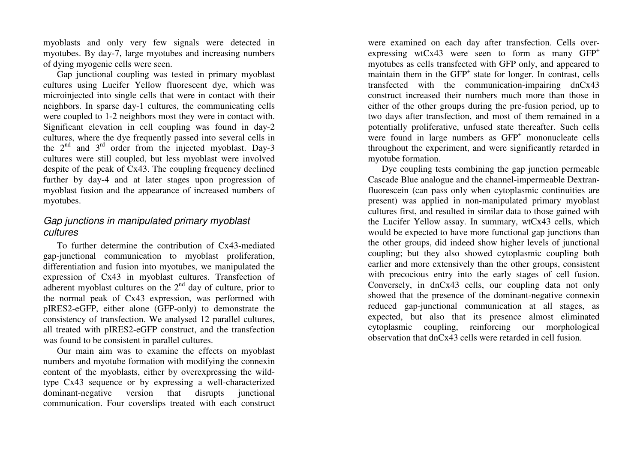myoblasts and only very few signals were detected in myotubes. By day-7, large myotubes and increasing numbers of dying myogenic cells were seen.

 Gap junctional coupling was tested in primary myoblast cultures using Lucifer Yellow fluorescent dye, which was microinjected into single cells that were in contact with their neighbors. In sparse day-1 cultures, the communicating cells were coupled to 1-2 neighbors most they were in contact with. Significant elevation in cell coupling was found in day-2 cultures, where the dye frequently passed into several cells in the  $2<sup>nd</sup>$  and  $3<sup>rd</sup>$  order from the injected myoblast. Day-3 cultures were still coupled, but less myoblast were involved despite of the peak of Cx43. The coupling frequency declined further by day-4 and at later stages upon progression of myoblast fusion and the appearance of increased numbers of myotubes.

#### Gap junctions in manipulated primary myoblast cultures

To further determine the contribution of Cx43-mediated gap-junctional communication to myoblast proliferation, differentiation and fusion into myotubes, we manipulated the expression of Cx43 in myoblast cultures. Transfection of adherent myoblast cultures on the  $2<sup>nd</sup>$  day of culture, prior to the normal peak of Cx43 expression, was performed with pIRES2-eGFP, either alone (GFP-only) to demonstrate the consistency of transfection. We analysed 12 parallel cultures, all treated with pIRES2-eGFP construct, and the transfection was found to be consistent in parallel cultures.

 Our main aim was to examine the effects on myoblast numbers and myotube formation with modifying the connexin content of the myoblasts, either by overexpressing the wildtype Cx43 sequence or by expressing a well-characterized dominant-negative version that disrupts junctional communication. Four coverslips treated with each construct were examined on each day after transfection. Cells overexpressing wtCx43 were seen to form as many  $GFP<sup>+</sup>$  myotubes as cells transfected with GFP only, and appeared to maintain them in the GFP<sup>+</sup> state for longer. In contrast, cells transfected with the communication-impairing dnCx43 construct increased their numbers much more than those in either of the other groups during the pre-fusion period, up to two days after transfection, and most of them remained in a potentially proliferative, unfused state thereafter. Such cells were found in large numbers as GFP<sup>+</sup> mononucleate cells throughout the experiment, and were significantly retarded in myotube formation.

 Dye coupling tests combining the gap junction permeable Cascade Blue analogue and the channel-impermeable Dextranfluorescein (can pass only when cytoplasmic continuities are present) was applied in non-manipulated primary myoblast cultures first, and resulted in similar data to those gained with the Lucifer Yellow assay. In summary, wtCx43 cells, which would be expected to have more functional gap junctions than the other groups, did indeed show higher levels of junctional coupling; but they also showed cytoplasmic coupling both earlier and more extensively than the other groups, consistent with precocious entry into the early stages of cell fusion. Conversely, in dnCx43 cells, our coupling data not only showed that the presence of the dominant-negative connexin reduced gap-junctional communication at all stages, as expected, but also that its presence almost eliminated cytoplasmic coupling, reinforcing our morphologicalobservation that dnCx43 cells were retarded in cell fusion.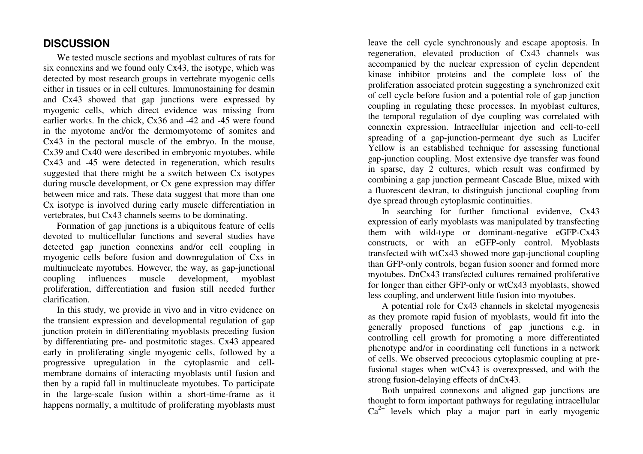# **DISCUSSION**

We tested muscle sections and myoblast cultures of rats for six connexins and we found only Cx43, the isotype, which was detected by most research groups in vertebrate myogenic cells either in tissues or in cell cultures. Immunostaining for desmin and Cx43 showed that gap junctions were expressed by myogenic cells, which direct evidence was missing from earlier works. In the chick, Cx36 and -42 and -45 were found in the myotome and/or the dermomyotome of somites and Cx43 in the pectoral muscle of the embryo. In the mouse, Cx39 and Cx40 were described in embryonic myotubes, while Cx43 and -45 were detected in regeneration, which results suggested that there might be a switch between Cx isotypes during muscle development, or Cx gene expression may differ between mice and rats. These data suggest that more than one Cx isotype is involved during early muscle differentiation in vertebrates, but Cx43 channels seems to be dominating.

 Formation of gap junctions is a ubiquitous feature of cells devoted to multicellular functions and several studies have detected gap junction connexins and/or cell coupling in myogenic cells before fusion and downregulation of Cxs in multinucleate myotubes. However, the way, as gap-junctional coupling influences muscle development, myoblast proliferation, differentiation and fusion still needed further clarification.

 In this study, we provide in vivo and in vitro evidence on the transient expression and developmental regulation of gap junction protein in differentiating myoblasts preceding fusion by differentiating pre- and postmitotic stages. Cx43 appeared early in proliferating single myogenic cells, followed by a progressive upregulation in the cytoplasmic and cellmembrane domains of interacting myoblasts until fusion and then by a rapid fall in multinucleate myotubes. To participate in the large-scale fusion within a short-time-frame as it happens normally, a multitude of proliferating myoblasts must

leave the cell cycle synchronously and escape apoptosis. In regeneration, elevated production of Cx43 channels was accompanied by the nuclear expression of cyclin dependent kinase inhibitor proteins and the complete loss of the proliferation associated protein suggesting a synchronized exit of cell cycle before fusion and a potential role of gap junction coupling in regulating these processes. In myoblast cultures, the temporal regulation of dye coupling was correlated with connexin expression. Intracellular injection and cell-to-cell spreading of a gap-junction-permeant dye such as Lucifer Yellow is an established technique for assessing functional gap-junction coupling. Most extensive dye transfer was found in sparse, day 2 cultures, which result was confirmed by combining a gap junction permeant Cascade Blue, mixed with a fluorescent dextran, to distinguish junctional coupling from dye spread through cytoplasmic continuities.

 In searching for further functional evidenve, Cx43 expression of early myoblasts was manipulated by transfecting them with wild-type or dominant-negative eGFP-Cx43 constructs, or with an eGFP-only control. Myoblasts transfected with wtCx43 showed more gap-junctional coupling than GFP-only controls, began fusion sooner and formed more myotubes. DnCx43 transfected cultures remained proliferative for longer than either GFP-only or wtCx43 myoblasts, showed less coupling, and underwent little fusion into myotubes.

 A potential role for Cx43 channels in skeletal myogenesis as they promote rapid fusion of myoblasts, would fit into the generally proposed functions of gap junctions e.g. in controlling cell growth for promoting a more differentiated phenotype and/or in coordinating cell functions in a network of cells. We observed precocious cytoplasmic coupling at prefusional stages when wtCx43 is overexpressed, and with the strong fusion-delaying effects of dnCx43.

 Both unpaired connexons and aligned gap junctions are thought to form important pathways for regulating intracellular  $Ca^{2+}$  levels which play a major part in early myogenic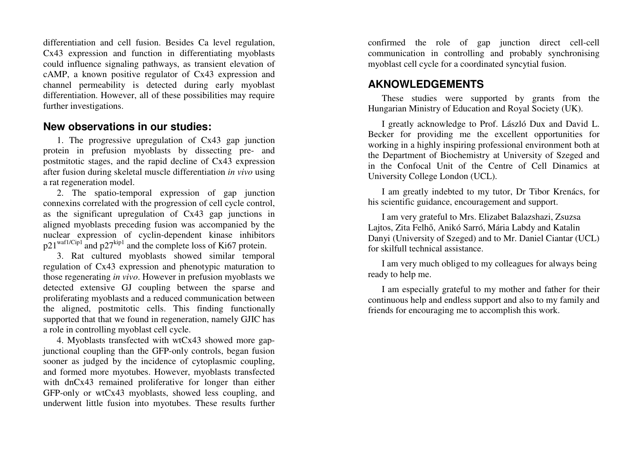differentiation and cell fusion. Besides Ca level regulation, Cx43 expression and function in differentiating myoblasts could influence signaling pathways, as transient elevation of cAMP, a known positive regulator of Cx43 expression and channel permeability is detected during early myoblast differentiation. However, all of these possibilities may require further investigations.

#### **New observations in our studies:**

1. The progressive upregulation of Cx43 gap junction protein in prefusion myoblasts by dissecting pre- and postmitotic stages, and the rapid decline of Cx43 expression after fusion during skeletal muscle differentiation *in vivo* using a rat regeneration model.

 2. The spatio-temporal expression of gap junction connexins correlated with the progression of cell cycle control, as the significant upregulation of Cx43 gap junctions in aligned myoblasts preceding fusion was accompanied by the nuclear expression of cyclin-dependent kinase inhibitors  $p21^{\text{waf1/Cip1}}$  and  $p27^{\text{kip1}}$  and the complete loss of Ki67 protein.

 3. Rat cultured myoblasts showed similar temporal regulation of Cx43 expression and phenotypic maturation to those regenerating *in vivo*. However in prefusion myoblasts we detected extensive GJ coupling between the sparse and proliferating myoblasts and a reduced communication between the aligned, postmitotic cells. This finding functionally supported that that we found in regeneration, namely GJIC has a role in controlling myoblast cell cycle.

 4. Myoblasts transfected with wtCx43 showed more gapjunctional coupling than the GFP-only controls, began fusion sooner as judged by the incidence of cytoplasmic coupling, and formed more myotubes. However, myoblasts transfected with dnCx43 remained proliferative for longer than either GFP-only or wtCx43 myoblasts, showed less coupling, and underwent little fusion into myotubes. These results further confirmed the role of gap junction direct cell-cell communication in controlling and probably synchronising myoblast cell cycle for a coordinated syncytial fusion.

# **AKNOWLEDGEMENTS**

These studies were supported by grants from the Hungarian Ministry of Education and Royal Society (UK).

I greatly acknowledge to Prof. László Dux and David L. Becker for providing me the excellent opportunities for working in a highly inspiring professional environment both at the Department of Biochemistry at University of Szeged and in the Confocal Unit of the Centre of Cell Dinamics at University College London (UCL).

I am greatly indebted to my tutor, Dr Tibor Krenács, for his scientific guidance, encouragement and support.

I am very grateful to Mrs. Elizabet Balazshazi, Zsuzsa Lajtos, Zita Felhő, Anikó Sarró, Mária Labdy and Katalin Danyi (University of Szeged) and to Mr. Daniel Ciantar (UCL) for skilfull technical assistance.

I am very much obliged to my colleagues for always being ready to help me.

I am especially grateful to my mother and father for their continuous help and endless support and also to my family and friends for encouraging me to accomplish this work.